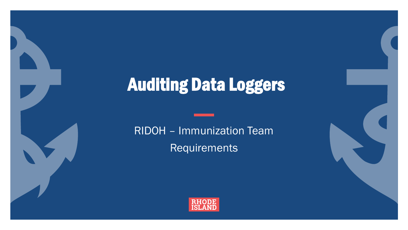# Auditing Data Loggers

RIDOH – Immunization Team **Requirements** 

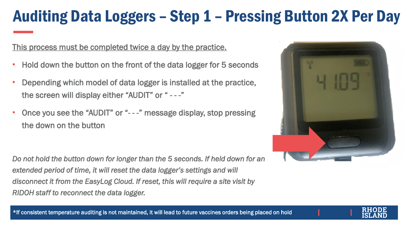### Auditing Data Loggers – Step 1 – Pressing Button 2X Per Day

This process must be completed twice a day by the practice.

- Hold down the button on the front of the data logger for 5 seconds
- Depending which model of data logger is installed at the practice, the screen will display either "AUDIT" or " - - -"
- Once you see the "AUDIT" or "- -" message display, stop pressing the down on the button

*Do not hold the button down for longer than the 5 seconds. If held down for an extended period of time, it will reset the data logger's settings and will disconnect it from the EasyLog Cloud. If reset, this will require a site visit by RIDOH staff to reconnect the data logger.* 





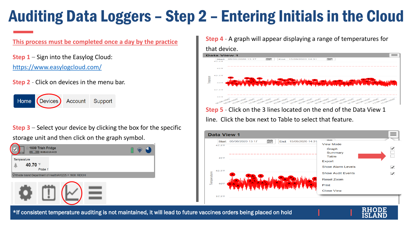## Auditing Data Loggers – Step 2 – Entering Initials in the Cloud

### **This process must be completed once a day by the practice**

**Step 1** – Sign into the Easylog Cloud: <https://www.easylogcloud.com/>

**Step 2** - Click on devices in the menu bar.

Home Support Account

**Step 3** – Select your device by clicking the box for the specific storage unit and then click on the graph symbol.



#### **Step 4** - A graph will appear displaying a range of temperatures for



**Step 5** - Click on the 3 lines located on the end of the Data View 1 line. Click the box next to Table to select that feature.



\*If consistent temperature auditing is not maintained, it will lead to future vaccines orders being placed on hold